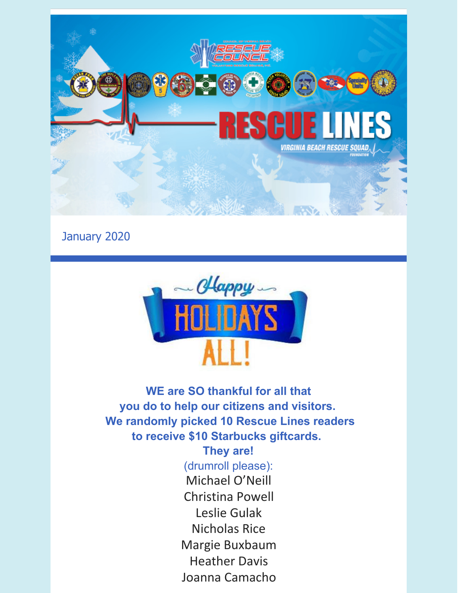

January 2020



**WE are SO thankful for all that you do to help our citizens and visitors. We randomly picked 10 Rescue Lines readers to receive \$10 Starbucks giftcards.**

**They are!**

(drumroll please): Michael O'Neill Christina Powell Leslie Gulak Nicholas Rice Margie Buxbaum Heather Davis Joanna Camacho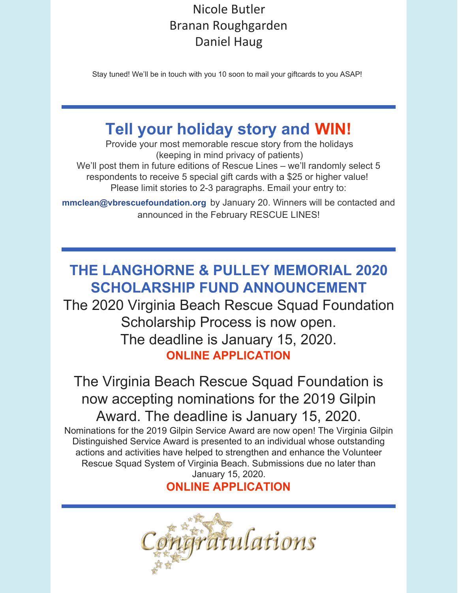## Nicole Butler Branan Roughgarden Daniel Haug

Stay tuned! We'll be in touch with you 10 soon to mail your giftcards to you ASAP!

# **Tell your holiday story and WIN!**

Provide your most memorable rescue story from the holidays (keeping in mind privacy of patients) We'll post them in future editions of Rescue Lines – we'll randomly select 5 respondents to receive 5 special gift cards with a \$25 or higher value! Please limit stories to 2-3 paragraphs. Email your entry to:

**[mmclean@vbrescuefoundation.org](mailto:mmclean@vbrescuefoundation.org)** by January 20. Winners will be contacted and announced in the February RESCUE LINES!

# **THE LANGHORNE & PULLEY MEMORIAL 2020 SCHOLARSHIP FUND ANNOUNCEMENT**

The 2020 Virginia Beach Rescue Squad Foundation Scholarship Process is now open. The deadline is January 15, 2020. **ONLINE [APPLICATION](https://vbrescuefoundation.org/awards-grants-scholarships/scholarship-program/)**

The Virginia Beach Rescue Squad Foundation is now accepting nominations for the 2019 Gilpin Award. The deadline is January 15, 2020. Nominations for the 2019 Gilpin Service Award are now open! The Virginia Gilpin Distinguished Service Award is presented to an individual whose outstanding actions and activities have helped to strengthen and enhance the Volunteer Rescue Squad System of Virginia Beach. Submissions due no later than January 15, 2020.

## **ONLINE [APPLICATION](https://vbrescuefoundation.org/awards-grants-scholarships/gilpin-service-award/)**

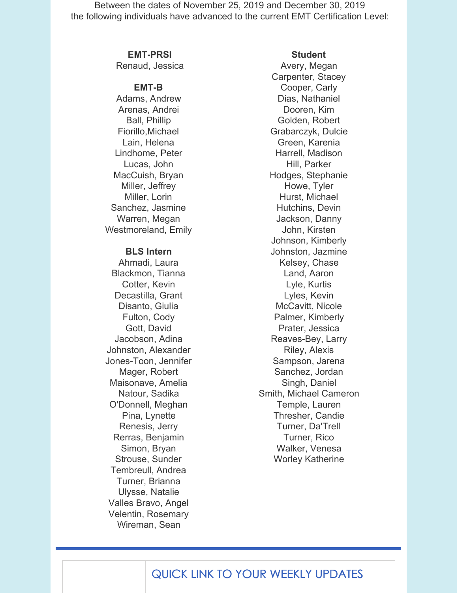Between the dates of November 25, 2019 and December 30, 2019 the following individuals have advanced to the current EMT Certification Level:

#### **EMT-PRSI**

Renaud, Jessica

#### **EMT-B**

Adams, Andrew Arenas, Andrei Ball, Phillip Fiorillo,Michael Lain, Helena Lindhome, Peter Lucas, John MacCuish, Bryan Miller, Jeffrey Miller, Lorin Sanchez, Jasmine Warren, Megan Westmoreland, Emily

#### **BLS Intern**

Ahmadi, Laura Blackmon, Tianna Cotter, Kevin Decastilla, Grant Disanto, Giulia Fulton, Cody Gott, David Jacobson, Adina Johnston, Alexander Jones-Toon, Jennifer Mager, Robert Maisonave, Amelia Natour, Sadika O'Donnell, Meghan Pina, Lynette Renesis, Jerry Rerras, Benjamin Simon, Bryan Strouse, Sunder Tembreull, Andrea Turner, Brianna Ulysse, Natalie Valles Bravo, Angel Velentin, Rosemary Wireman, Sean

#### **Student**

Avery, Megan Carpenter, Stacey Cooper, Carly Dias, Nathaniel Dooren, Kim Golden, Robert Grabarczyk, Dulcie Green, Karenia Harrell, Madison Hill, Parker Hodges, Stephanie Howe, Tyler Hurst, Michael Hutchins, Devin Jackson, Danny John, Kirsten Johnson, Kimberly Johnston, Jazmine Kelsey, Chase Land, Aaron Lyle, Kurtis Lyles, Kevin McCavitt, Nicole Palmer, Kimberly Prater, Jessica Reaves-Bey, Larry Riley, Alexis Sampson, Jarena Sanchez, Jordan Singh, Daniel Smith, Michael Cameron Temple, Lauren Thresher, Candie Turner, Da'Trell Turner, Rico Walker, Venesa Worley Katherine

## QUICK LINK TO YOUR WEEKLY UPDATES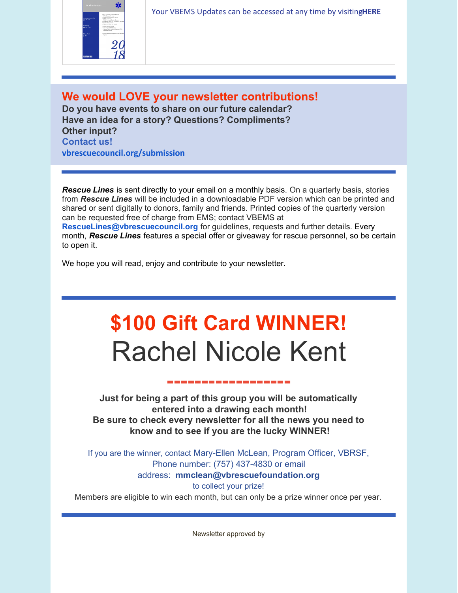

Your VBEMS Updates can be accessed at any time by visiting**[HERE](https://www.vbems.com/providers/newsletter/)**

### **We would LOVE your newsletter contributions!**

**Do you have events to share on our future calendar? Have an idea for a story? Questions? Compliments? Other input? Contact us! [vbrescuecouncil.org/submission](http://www.vbrescuecouncil.org/submission)**

*Rescue Lines* is sent directly to your email on a monthly basis. On a quarterly basis, stories from *Rescue Lines* will be included in a downloadable PDF version which can be printed and shared or sent digitally to donors, family and friends. Printed copies of the quarterly version can be requested free of charge from EMS; contact VBEMS at **[RescueLines@vbrescuecouncil.org](mailto:RescueLines@vbrescuecouncil.org)** for guidelines, requests and further details. Every month, *Rescue Lines* features a special offer or giveaway for rescue personnel, so be certain to open it.

We hope you will read, enjoy and contribute to your newsletter.

# **\$100 Gift Card WINNER!** Rachel Nicole Kent

#### **------------------**

**Just for being a part of this group you will be automatically entered into a drawing each month! Be sure to check every newsletter for all the news you need to know and to see if you are the lucky WINNER!**

If you are the winner, contact Mary-Ellen McLean, Program Officer, VBRSF, Phone number: (757) 437-4830 or email

#### address: **[mmclean@vbrescuefoundation.org](mailto:mmclean@vbrescuefoundation.org)**

to collect your prize!

Members are eligible to win each month, but can only be a prize winner once per year.

Newsletter approved by